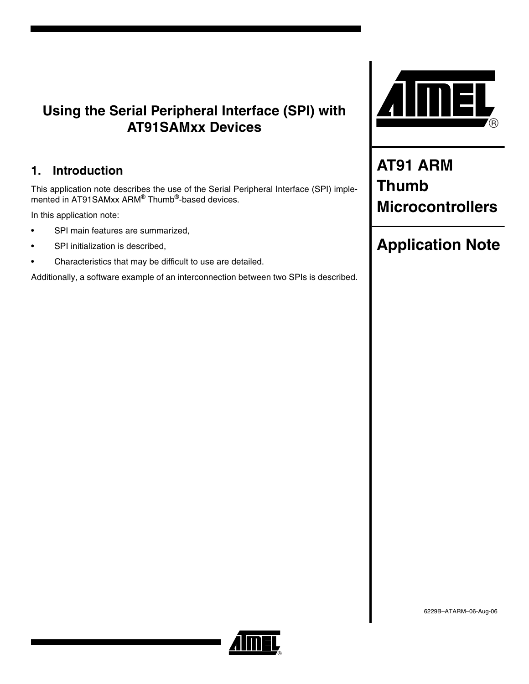# **Using the Serial Peripheral Interface (SPI) with AT91SAMxx Devices**

# **1. Introduction**

This application note describes the use of the Serial Peripheral Interface (SPI) implemented in AT91SAMxx ARM® Thumb®-based devices.

In this application note:

- SPI main features are summarized,
- SPI initialization is described,
- Characteristics that may be difficult to use are detailed.

Additionally, a software example of an interconnection between two SPIs is described.



**AT91 ARM Thumb Microcontrollers**

# **Application Note**

6229B–ATARM–06-Aug-06

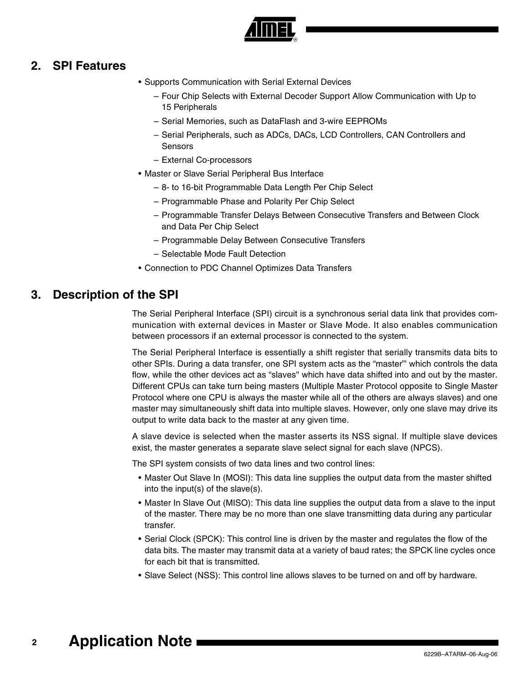

### **2. SPI Features**

- Supports Communication with Serial External Devices
	- Four Chip Selects with External Decoder Support Allow Communication with Up to 15 Peripherals
	- Serial Memories, such as DataFlash and 3-wire EEPROMs
	- Serial Peripherals, such as ADCs, DACs, LCD Controllers, CAN Controllers and Sensors
	- External Co-processors
- Master or Slave Serial Peripheral Bus Interface
	- 8- to 16-bit Programmable Data Length Per Chip Select
	- Programmable Phase and Polarity Per Chip Select
	- Programmable Transfer Delays Between Consecutive Transfers and Between Clock and Data Per Chip Select
	- Programmable Delay Between Consecutive Transfers
	- Selectable Mode Fault Detection
- Connection to PDC Channel Optimizes Data Transfers

### **3. Description of the SPI**

The Serial Peripheral Interface (SPI) circuit is a synchronous serial data link that provides communication with external devices in Master or Slave Mode. It also enables communication between processors if an external processor is connected to the system.

The Serial Peripheral Interface is essentially a shift register that serially transmits data bits to other SPIs. During a data transfer, one SPI system acts as the "master"' which controls the data flow, while the other devices act as "slaves'' which have data shifted into and out by the master. Different CPUs can take turn being masters (Multiple Master Protocol opposite to Single Master Protocol where one CPU is always the master while all of the others are always slaves) and one master may simultaneously shift data into multiple slaves. However, only one slave may drive its output to write data back to the master at any given time.

A slave device is selected when the master asserts its NSS signal. If multiple slave devices exist, the master generates a separate slave select signal for each slave (NPCS).

The SPI system consists of two data lines and two control lines:

- Master Out Slave In (MOSI): This data line supplies the output data from the master shifted into the input(s) of the slave(s).
- Master In Slave Out (MISO): This data line supplies the output data from a slave to the input of the master. There may be no more than one slave transmitting data during any particular transfer.
- Serial Clock (SPCK): This control line is driven by the master and regulates the flow of the data bits. The master may transmit data at a variety of baud rates; the SPCK line cycles once for each bit that is transmitted.
- Slave Select (NSS): This control line allows slaves to be turned on and off by hardware.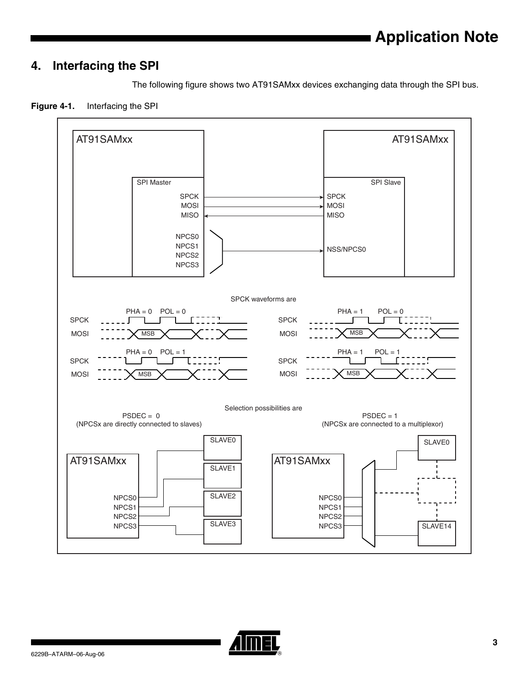## **4. Interfacing the SPI**

The following figure shows two AT91SAMxx devices exchanging data through the SPI bus.





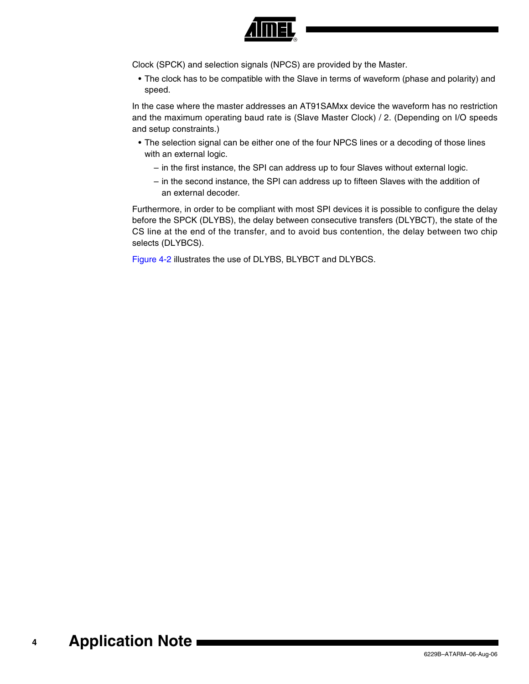

Clock (SPCK) and selection signals (NPCS) are provided by the Master.

• The clock has to be compatible with the Slave in terms of waveform (phase and polarity) and speed.

In the case where the master addresses an AT91SAMxx device the waveform has no restriction and the maximum operating baud rate is (Slave Master Clock) / 2. (Depending on I/O speeds and setup constraints.)

- The selection signal can be either one of the four NPCS lines or a decoding of those lines with an external logic.
	- in the first instance, the SPI can address up to four Slaves without external logic.
	- in the second instance, the SPI can address up to fifteen Slaves with the addition of an external decoder.

Furthermore, in order to be compliant with most SPI devices it is possible to configure the delay before the SPCK (DLYBS), the delay between consecutive transfers (DLYBCT), the state of the CS line at the end of the transfer, and to avoid bus contention, the delay between two chip selects (DLYBCS).

[Figure 4-2](#page-4-0) illustrates the use of DLYBS, BLYBCT and DLYBCS.

#### **4 Application Note**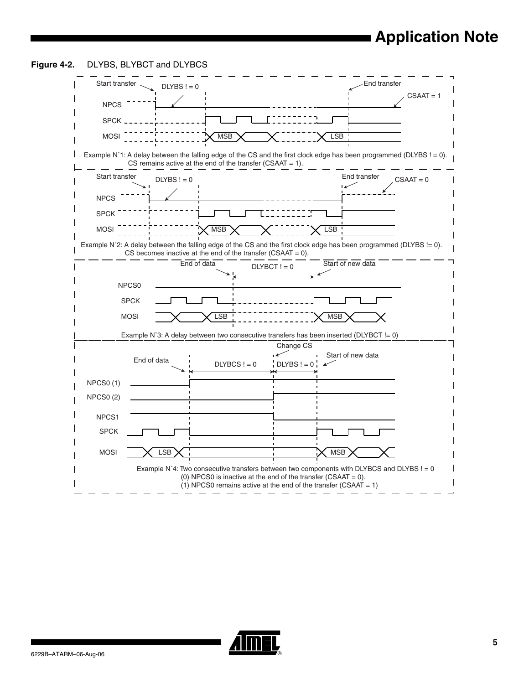# **Application Note**

<span id="page-4-0"></span>

|                 | $DLYBS != 0$      |                                                                                                                                                                                     |               |                   | $CSAAT = 1$ |
|-----------------|-------------------|-------------------------------------------------------------------------------------------------------------------------------------------------------------------------------------|---------------|-------------------|-------------|
| <b>NPCS</b>     |                   |                                                                                                                                                                                     |               |                   |             |
| SPCK,           |                   |                                                                                                                                                                                     |               |                   |             |
| <b>MOSI</b>     |                   | <b>MSB</b>                                                                                                                                                                          |               | <b>LSB</b>        |             |
|                 |                   | Example N°1: A delay between the falling edge of the CS and the first clock edge has been programmed (DLYBS ! = 0).<br>CS remains active at the end of the transfer (CSAAT = $1$ ). |               |                   |             |
| Start transfer  | $DLYBS != 0$      |                                                                                                                                                                                     |               | End transfer      | $CSAAT = 0$ |
| <b>NPCS</b>     |                   |                                                                                                                                                                                     |               |                   |             |
| <b>SPCK</b>     |                   |                                                                                                                                                                                     |               |                   |             |
| <b>MOSI</b>     |                   | MSB                                                                                                                                                                                 |               | <b>LSB</b>        |             |
|                 |                   | Example N°2: A delay between the falling edge of the CS and the first clock edge has been programmed (DLYBS != 0).                                                                  |               |                   |             |
|                 |                   | CS becomes inactive at the end of the transfer (CSAAT = $0$ ).                                                                                                                      |               |                   |             |
|                 |                   | End of data                                                                                                                                                                         | $DLYBCT != 0$ | Start of new data |             |
|                 |                   |                                                                                                                                                                                     |               |                   |             |
|                 | NPCS <sub>0</sub> |                                                                                                                                                                                     |               |                   |             |
|                 | <b>SPCK</b>       |                                                                                                                                                                                     |               |                   |             |
|                 | <b>MOSI</b>       | <b>LSB</b>                                                                                                                                                                          |               | <b>MSB</b>        |             |
|                 |                   | Example N°3: A delay between two consecutive transfers has been inserted (DLYBCT != 0)                                                                                              |               |                   |             |
|                 |                   |                                                                                                                                                                                     | Change CS     |                   |             |
|                 | End of data       |                                                                                                                                                                                     |               | Start of new data |             |
|                 |                   | $DLYBCS != 0$                                                                                                                                                                       | $DLYBS = 0$   |                   |             |
| <b>NPCS0(1)</b> |                   |                                                                                                                                                                                     |               |                   |             |
| <b>NPCS0(2)</b> |                   |                                                                                                                                                                                     |               |                   |             |
|                 |                   |                                                                                                                                                                                     |               |                   |             |
|                 |                   |                                                                                                                                                                                     |               |                   |             |
| NPCS1           |                   |                                                                                                                                                                                     |               |                   |             |
| <b>SPCK</b>     |                   |                                                                                                                                                                                     |               |                   |             |
| <b>MOSI</b>     | <b>LSB</b>        |                                                                                                                                                                                     |               | <b>MSB</b>        |             |
|                 |                   | Example $N^24$ : Two consecutive transfers between two components with DLYBCS and DLYBS $!= 0$                                                                                      |               |                   |             |



▊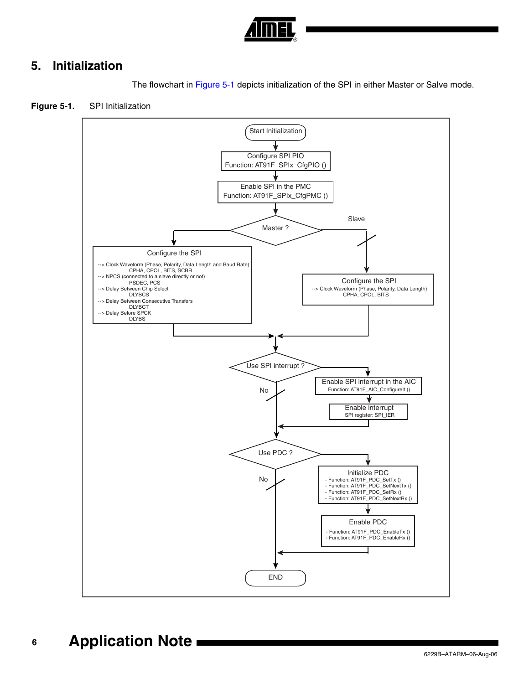

# **5. Initialization**

The flowchart in [Figure 5-1](#page-5-0) depicts initialization of the SPI in either Master or Salve mode.

<span id="page-5-0"></span>



#### **6 Application Note**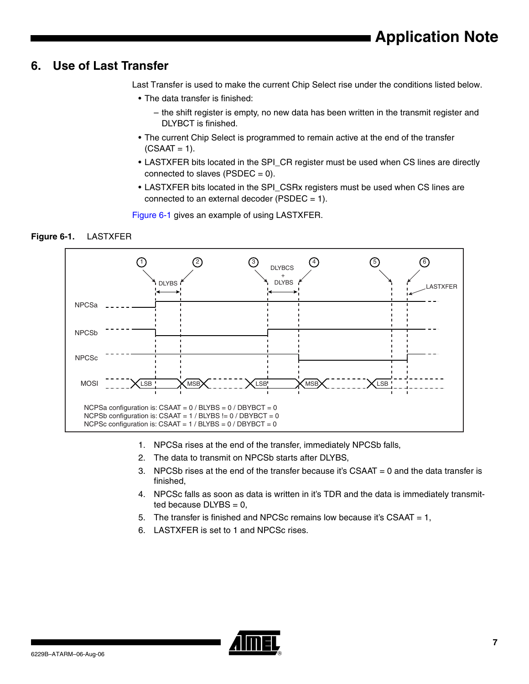### **6. Use of Last Transfer**

Last Transfer is used to make the current Chip Select rise under the conditions listed below.

- The data transfer is finished:
	- the shift register is empty, no new data has been written in the transmit register and DLYBCT is finished.
- The current Chip Select is programmed to remain active at the end of the transfer  $(CSAAT = 1)$ .
- LASTXFER bits located in the SPI\_CR register must be used when CS lines are directly connected to slaves ( $\text{PSDEC} = 0$ ).
- LASTXFER bits located in the SPI\_CSRx registers must be used when CS lines are connected to an external decoder ( $PSDEC = 1$ ).

[Figure 6-1](#page-6-0) gives an example of using LASTXFER.

### <span id="page-6-0"></span>**Figure 6-1.** LASTXFER



- 1. NPCSa rises at the end of the transfer, immediately NPCSb falls,
- 2. The data to transmit on NPCSb starts after DLYBS,
- 3. NPCSb rises at the end of the transfer because it's CSAAT = 0 and the data transfer is finished,
- 4. NPCSc falls as soon as data is written in it's TDR and the data is immediately transmitted because  $DLYBS = 0$ ,
- 5. The transfer is finished and NPCSc remains low because it's CSAAT = 1,
- 6. LASTXFER is set to 1 and NPCSc rises.

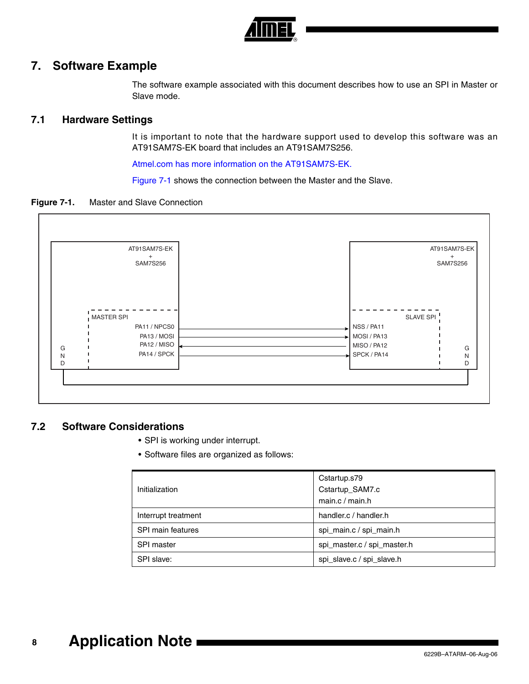

### **7. Software Example**

The software example associated with this document describes how to use an SPI in Master or Slave mode.

### **7.1 Hardware Settings**

It is important to note that the hardware support used to develop this software was an AT91SAM7S-EK board that includes an AT91SAM7S256.

[Atmel.com has more information on the AT91SAM7S-EK.](http://www.atmel.com/dyn/products/tools_card.asp?tool_id=3784) 

[Figure 7-1](#page-7-0) shows the connection between the Master and the Slave.

<span id="page-7-0"></span>**Figure 7-1.** Master and Slave Connection



### **7.2 Software Considerations**

- SPI is working under interrupt.
- Software files are organized as follows:

| Initialization      | Cstartup.s79<br>Cstartup_SAM7.c<br>main.c / main.h |
|---------------------|----------------------------------------------------|
| Interrupt treatment | handler.c / handler.h                              |
| SPI main features   | spi_main.c / spi_main.h                            |
| <b>SPI</b> master   | spi_master.c / spi_master.h                        |
| SPI slave:          | spi_slave.c / spi_slave.h                          |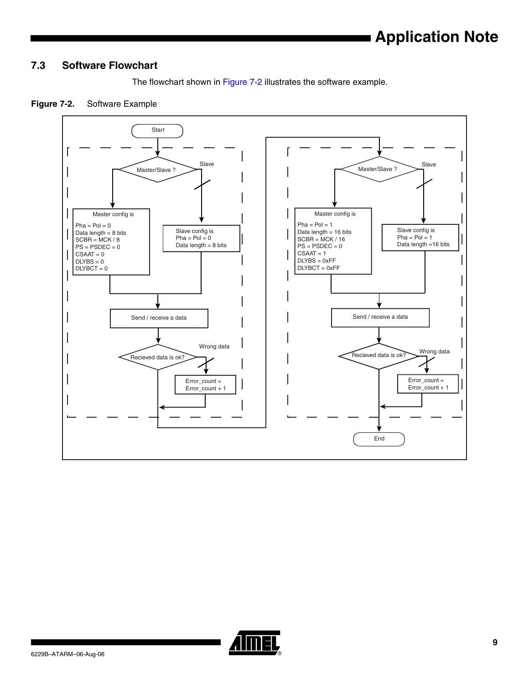# **Application Note**

### **7.3 Software Flowchart**



### <span id="page-8-0"></span>**Figure 7-2.** Software Example



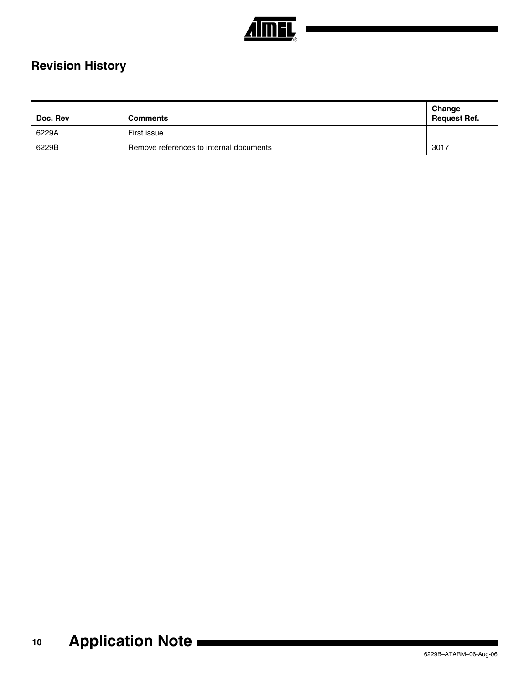

# **Revision History**

| Doc. Rev | <b>Comments</b>                         | │ Change<br>Request Ref. |
|----------|-----------------------------------------|--------------------------|
| 6229A    | First issue                             |                          |
| 6229B    | Remove references to internal documents | 3017                     |